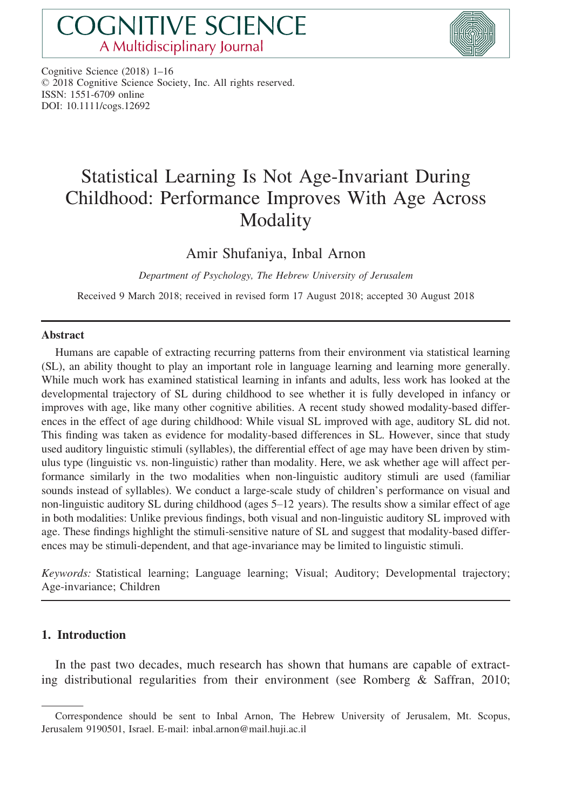# **COGNITIVE SCIENCE** A Multidisciplinary Journal



Cognitive Science (2018) 1–16 © 2018 Cognitive Science Society, Inc. All rights reserved. ISSN: 1551-6709 online DOI: 10.1111/cogs.12692

# Statistical Learning Is Not Age-Invariant During Childhood: Performance Improves With Age Across Modality

Amir Shufaniya, Inbal Arnon

Department of Psychology, The Hebrew University of Jerusalem

Received 9 March 2018; received in revised form 17 August 2018; accepted 30 August 2018

## Abstract

Humans are capable of extracting recurring patterns from their environment via statistical learning (SL), an ability thought to play an important role in language learning and learning more generally. While much work has examined statistical learning in infants and adults, less work has looked at the developmental trajectory of SL during childhood to see whether it is fully developed in infancy or improves with age, like many other cognitive abilities. A recent study showed modality-based differences in the effect of age during childhood: While visual SL improved with age, auditory SL did not. This finding was taken as evidence for modality-based differences in SL. However, since that study used auditory linguistic stimuli (syllables), the differential effect of age may have been driven by stimulus type (linguistic vs. non-linguistic) rather than modality. Here, we ask whether age will affect performance similarly in the two modalities when non-linguistic auditory stimuli are used (familiar sounds instead of syllables). We conduct a large-scale study of children's performance on visual and non-linguistic auditory SL during childhood (ages 5–12 years). The results show a similar effect of age in both modalities: Unlike previous findings, both visual and non-linguistic auditory SL improved with age. These findings highlight the stimuli-sensitive nature of SL and suggest that modality-based differences may be stimuli-dependent, and that age-invariance may be limited to linguistic stimuli.

Keywords: Statistical learning; Language learning; Visual; Auditory; Developmental trajectory; Age-invariance; Children

## 1. Introduction

In the past two decades, much research has shown that humans are capable of extracting distributional regularities from their environment (see Romberg & Saffran, 2010;

Correspondence should be sent to Inbal Arnon, The Hebrew University of Jerusalem, Mt. Scopus, Jerusalem 9190501, Israel. E-mail: [inbal.arnon@mail.huji.ac.il](mailto:)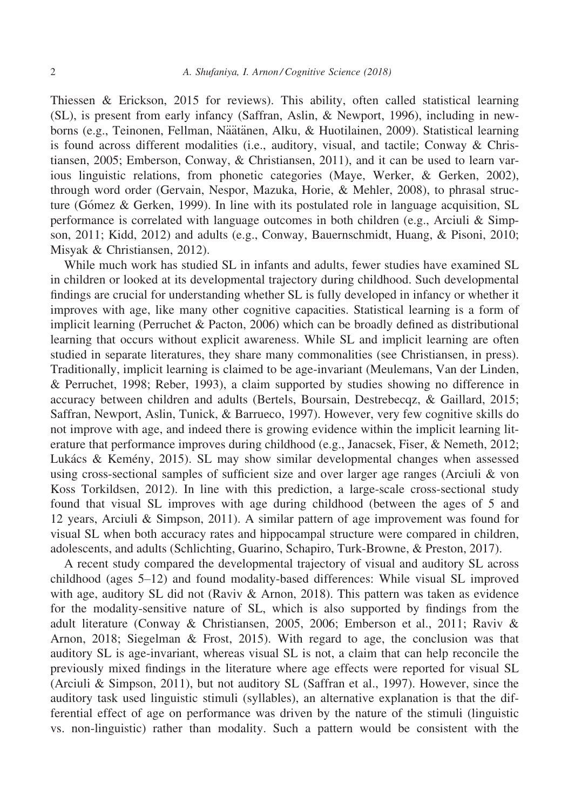Thiessen & Erickson, 2015 for reviews). This ability, often called statistical learning (SL), is present from early infancy (Saffran, Aslin, & Newport, 1996), including in newborns (e.g., Teinonen, Fellman, Näätänen, Alku, & Huotilainen, 2009). Statistical learning is found across different modalities (i.e., auditory, visual, and tactile; Conway & Christiansen, 2005; Emberson, Conway, & Christiansen, 2011), and it can be used to learn various linguistic relations, from phonetic categories (Maye, Werker, & Gerken, 2002), through word order (Gervain, Nespor, Mazuka, Horie, & Mehler, 2008), to phrasal structure (Gómez & Gerken, 1999). In line with its postulated role in language acquisition, SL performance is correlated with language outcomes in both children (e.g., Arciuli  $\&$  Simpson, 2011; Kidd, 2012) and adults (e.g., Conway, Bauernschmidt, Huang, & Pisoni, 2010; Misyak & Christiansen, 2012).

While much work has studied SL in infants and adults, fewer studies have examined SL in children or looked at its developmental trajectory during childhood. Such developmental findings are crucial for understanding whether SL is fully developed in infancy or whether it improves with age, like many other cognitive capacities. Statistical learning is a form of implicit learning (Perruchet & Pacton, 2006) which can be broadly defined as distributional learning that occurs without explicit awareness. While SL and implicit learning are often studied in separate literatures, they share many commonalities (see Christiansen, in press). Traditionally, implicit learning is claimed to be age-invariant (Meulemans, Van der Linden, & Perruchet, 1998; Reber, 1993), a claim supported by studies showing no difference in accuracy between children and adults (Bertels, Boursain, Destrebecqz, & Gaillard, 2015; Saffran, Newport, Aslin, Tunick, & Barrueco, 1997). However, very few cognitive skills do not improve with age, and indeed there is growing evidence within the implicit learning literature that performance improves during childhood (e.g., Janacsek, Fiser, & Nemeth, 2012; Lukács & Kemény, 2015). SL may show similar developmental changes when assessed using cross-sectional samples of sufficient size and over larger age ranges (Arciuli & von Koss Torkildsen, 2012). In line with this prediction, a large-scale cross-sectional study found that visual SL improves with age during childhood (between the ages of 5 and 12 years, Arciuli & Simpson, 2011). A similar pattern of age improvement was found for visual SL when both accuracy rates and hippocampal structure were compared in children, adolescents, and adults (Schlichting, Guarino, Schapiro, Turk-Browne, & Preston, 2017).

A recent study compared the developmental trajectory of visual and auditory SL across childhood (ages 5–12) and found modality-based differences: While visual SL improved with age, auditory SL did not (Raviv & Arnon, 2018). This pattern was taken as evidence for the modality-sensitive nature of SL, which is also supported by findings from the adult literature (Conway & Christiansen, 2005, 2006; Emberson et al., 2011; Raviv & Arnon, 2018; Siegelman & Frost, 2015). With regard to age, the conclusion was that auditory SL is age-invariant, whereas visual SL is not, a claim that can help reconcile the previously mixed findings in the literature where age effects were reported for visual SL (Arciuli & Simpson, 2011), but not auditory SL (Saffran et al., 1997). However, since the auditory task used linguistic stimuli (syllables), an alternative explanation is that the differential effect of age on performance was driven by the nature of the stimuli (linguistic vs. non-linguistic) rather than modality. Such a pattern would be consistent with the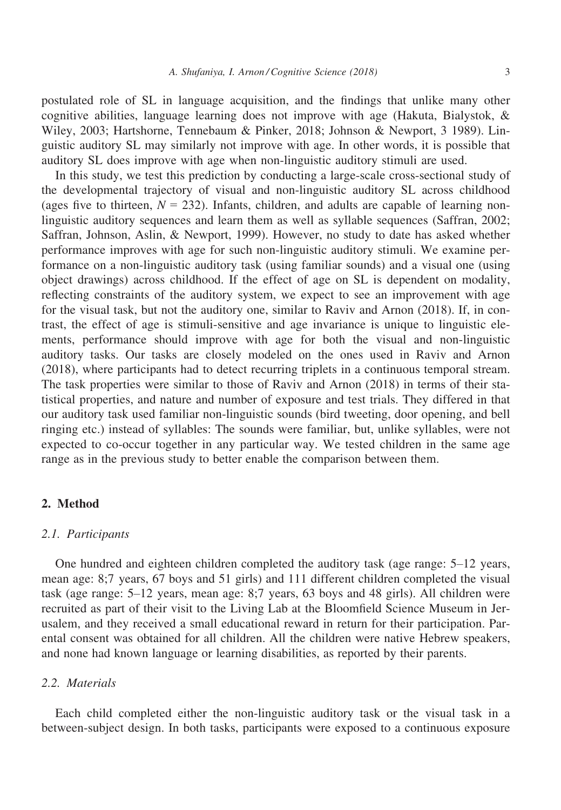postulated role of SL in language acquisition, and the findings that unlike many other cognitive abilities, language learning does not improve with age (Hakuta, Bialystok, & Wiley, 2003; Hartshorne, Tennebaum & Pinker, 2018; Johnson & Newport, 3 1989). Linguistic auditory SL may similarly not improve with age. In other words, it is possible that auditory SL does improve with age when non-linguistic auditory stimuli are used.

In this study, we test this prediction by conducting a large-scale cross-sectional study of the developmental trajectory of visual and non-linguistic auditory SL across childhood (ages five to thirteen,  $N = 232$ ). Infants, children, and adults are capable of learning nonlinguistic auditory sequences and learn them as well as syllable sequences (Saffran, 2002; Saffran, Johnson, Aslin, & Newport, 1999). However, no study to date has asked whether performance improves with age for such non-linguistic auditory stimuli. We examine performance on a non-linguistic auditory task (using familiar sounds) and a visual one (using object drawings) across childhood. If the effect of age on SL is dependent on modality, reflecting constraints of the auditory system, we expect to see an improvement with age for the visual task, but not the auditory one, similar to Raviv and Arnon (2018). If, in contrast, the effect of age is stimuli-sensitive and age invariance is unique to linguistic elements, performance should improve with age for both the visual and non-linguistic auditory tasks. Our tasks are closely modeled on the ones used in Raviv and Arnon (2018), where participants had to detect recurring triplets in a continuous temporal stream. The task properties were similar to those of Raviv and Arnon (2018) in terms of their statistical properties, and nature and number of exposure and test trials. They differed in that our auditory task used familiar non-linguistic sounds (bird tweeting, door opening, and bell ringing etc.) instead of syllables: The sounds were familiar, but, unlike syllables, were not expected to co-occur together in any particular way. We tested children in the same age range as in the previous study to better enable the comparison between them.

#### 2. Method

#### 2.1. Participants

One hundred and eighteen children completed the auditory task (age range: 5–12 years, mean age: 8;7 years, 67 boys and 51 girls) and 111 different children completed the visual task (age range: 5–12 years, mean age: 8;7 years, 63 boys and 48 girls). All children were recruited as part of their visit to the Living Lab at the Bloomfield Science Museum in Jerusalem, and they received a small educational reward in return for their participation. Parental consent was obtained for all children. All the children were native Hebrew speakers, and none had known language or learning disabilities, as reported by their parents.

# 2.2. Materials

Each child completed either the non-linguistic auditory task or the visual task in a between-subject design. In both tasks, participants were exposed to a continuous exposure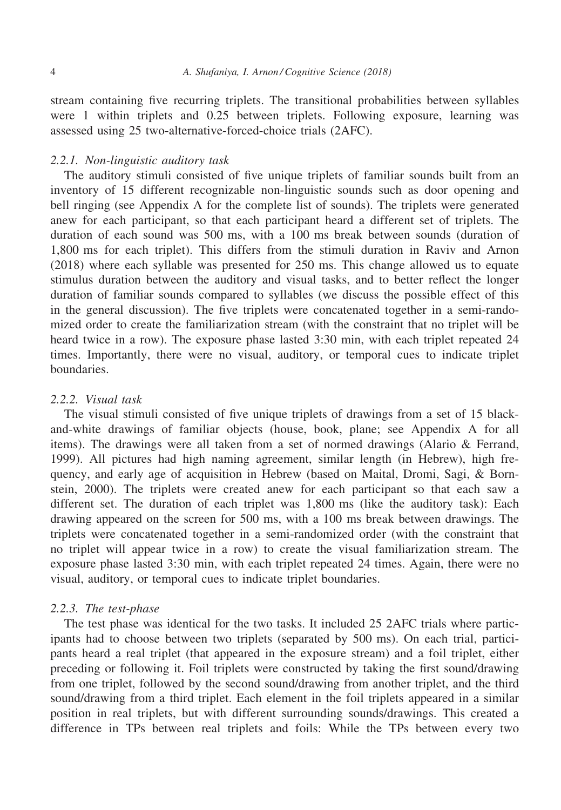stream containing five recurring triplets. The transitional probabilities between syllables were 1 within triplets and 0.25 between triplets. Following exposure, learning was assessed using 25 two-alternative-forced-choice trials (2AFC).

#### 2.2.1. Non-linguistic auditory task

The auditory stimuli consisted of five unique triplets of familiar sounds built from an inventory of 15 different recognizable non-linguistic sounds such as door opening and bell ringing (see Appendix A for the complete list of sounds). The triplets were generated anew for each participant, so that each participant heard a different set of triplets. The duration of each sound was 500 ms, with a 100 ms break between sounds (duration of 1,800 ms for each triplet). This differs from the stimuli duration in Raviv and Arnon (2018) where each syllable was presented for 250 ms. This change allowed us to equate stimulus duration between the auditory and visual tasks, and to better reflect the longer duration of familiar sounds compared to syllables (we discuss the possible effect of this in the general discussion). The five triplets were concatenated together in a semi-randomized order to create the familiarization stream (with the constraint that no triplet will be heard twice in a row). The exposure phase lasted 3:30 min, with each triplet repeated 24 times. Importantly, there were no visual, auditory, or temporal cues to indicate triplet boundaries.

## 2.2.2. Visual task

The visual stimuli consisted of five unique triplets of drawings from a set of 15 blackand-white drawings of familiar objects (house, book, plane; see Appendix A for all items). The drawings were all taken from a set of normed drawings (Alario & Ferrand, 1999). All pictures had high naming agreement, similar length (in Hebrew), high frequency, and early age of acquisition in Hebrew (based on Maital, Dromi, Sagi, & Bornstein, 2000). The triplets were created anew for each participant so that each saw a different set. The duration of each triplet was 1,800 ms (like the auditory task): Each drawing appeared on the screen for 500 ms, with a 100 ms break between drawings. The triplets were concatenated together in a semi-randomized order (with the constraint that no triplet will appear twice in a row) to create the visual familiarization stream. The exposure phase lasted 3:30 min, with each triplet repeated 24 times. Again, there were no visual, auditory, or temporal cues to indicate triplet boundaries.

#### 2.2.3. The test-phase

The test phase was identical for the two tasks. It included 25 2AFC trials where participants had to choose between two triplets (separated by 500 ms). On each trial, participants heard a real triplet (that appeared in the exposure stream) and a foil triplet, either preceding or following it. Foil triplets were constructed by taking the first sound/drawing from one triplet, followed by the second sound/drawing from another triplet, and the third sound/drawing from a third triplet. Each element in the foil triplets appeared in a similar position in real triplets, but with different surrounding sounds/drawings. This created a difference in TPs between real triplets and foils: While the TPs between every two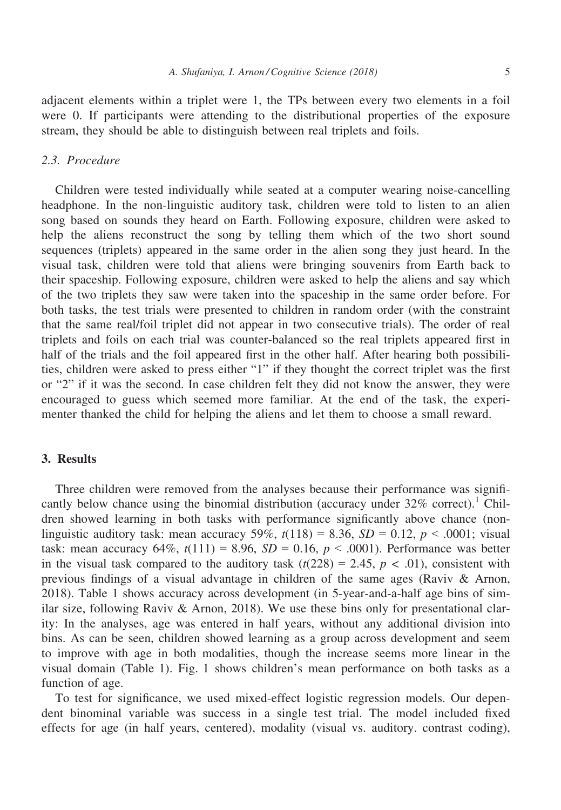adjacent elements within a triplet were 1, the TPs between every two elements in a foil were 0. If participants were attending to the distributional properties of the exposure stream, they should be able to distinguish between real triplets and foils.

## 2.3. Procedure

Children were tested individually while seated at a computer wearing noise-cancelling headphone. In the non-linguistic auditory task, children were told to listen to an alien song based on sounds they heard on Earth. Following exposure, children were asked to help the aliens reconstruct the song by telling them which of the two short sound sequences (triplets) appeared in the same order in the alien song they just heard. In the visual task, children were told that aliens were bringing souvenirs from Earth back to their spaceship. Following exposure, children were asked to help the aliens and say which of the two triplets they saw were taken into the spaceship in the same order before. For both tasks, the test trials were presented to children in random order (with the constraint that the same real/foil triplet did not appear in two consecutive trials). The order of real triplets and foils on each trial was counter-balanced so the real triplets appeared first in half of the trials and the foil appeared first in the other half. After hearing both possibilities, children were asked to press either "1" if they thought the correct triplet was the first or "2" if it was the second. In case children felt they did not know the answer, they were encouraged to guess which seemed more familiar. At the end of the task, the experimenter thanked the child for helping the aliens and let them to choose a small reward.

# 3. Results

Three children were removed from the analyses because their performance was significantly below chance using the binomial distribution (accuracy under  $32\%$  correct).<sup>1</sup> Children showed learning in both tasks with performance significantly above chance (nonlinguistic auditory task: mean accuracy 59%,  $t(118) = 8.36$ ,  $SD = 0.12$ ,  $p < .0001$ ; visual task: mean accuracy 64%,  $t(111) = 8.96$ ,  $SD = 0.16$ ,  $p < .0001$ ). Performance was better in the visual task compared to the auditory task  $(t(228) = 2.45, p < .01)$ , consistent with previous findings of a visual advantage in children of the same ages (Raviv & Arnon, 2018). Table 1 shows accuracy across development (in 5-year-and-a-half age bins of similar size, following Raviv & Arnon, 2018). We use these bins only for presentational clarity: In the analyses, age was entered in half years, without any additional division into bins. As can be seen, children showed learning as a group across development and seem to improve with age in both modalities, though the increase seems more linear in the visual domain (Table 1). Fig. 1 shows children's mean performance on both tasks as a function of age.

To test for significance, we used mixed-effect logistic regression models. Our dependent binominal variable was success in a single test trial. The model included fixed effects for age (in half years, centered), modality (visual vs. auditory. contrast coding),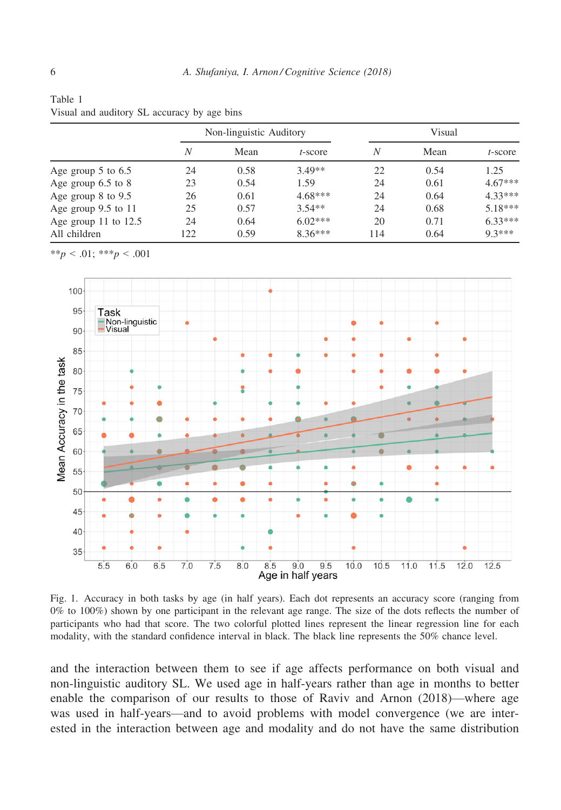|                        | Non-linguistic Auditory |      |           |     | Visual |           |
|------------------------|-------------------------|------|-----------|-----|--------|-----------|
|                        | N                       | Mean | t-score   | N   | Mean   | t-score   |
| Age group $5$ to $6.5$ | 24                      | 0.58 | $3.49**$  | 22  | 0.54   | 1.25      |
| Age group 6.5 to 8     | 23                      | 0.54 | 1.59      | 24  | 0.61   | $4.67***$ |
| Age group 8 to 9.5     | 26                      | 0.61 | $4.68***$ | 24  | 0.64   | $4.33***$ |
| Age group 9.5 to 11    | 25                      | 0.57 | $3.54**$  | 24  | 0.68   | $5.18***$ |
| Age group 11 to $12.5$ | 24                      | 0.64 | $6.02***$ | 20  | 0.71   | $6.33***$ |
| All children           | 122                     | 0.59 | $8.36***$ | 114 | 0.64   | $9.3***$  |

Table 1 Visual and auditory SL accuracy by age bins

\*\*p < .01; \*\*\*p < .001



Fig. 1. Accuracy in both tasks by age (in half years). Each dot represents an accuracy score (ranging from 0% to 100%) shown by one participant in the relevant age range. The size of the dots reflects the number of participants who had that score. The two colorful plotted lines represent the linear regression line for each modality, with the standard confidence interval in black. The black line represents the 50% chance level.

and the interaction between them to see if age affects performance on both visual and non-linguistic auditory SL. We used age in half-years rather than age in months to better enable the comparison of our results to those of Raviv and Arnon (2018)—where age was used in half-years—and to avoid problems with model convergence (we are interested in the interaction between age and modality and do not have the same distribution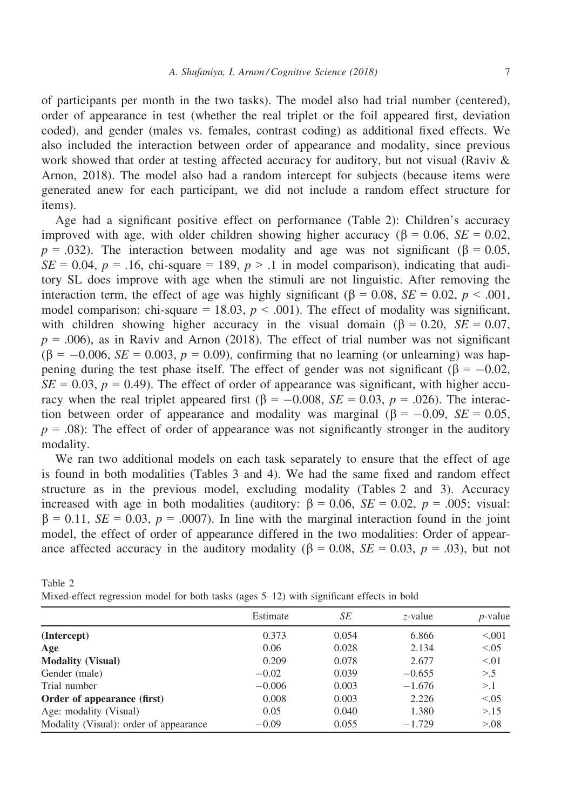of participants per month in the two tasks). The model also had trial number (centered), order of appearance in test (whether the real triplet or the foil appeared first, deviation coded), and gender (males vs. females, contrast coding) as additional fixed effects. We also included the interaction between order of appearance and modality, since previous work showed that order at testing affected accuracy for auditory, but not visual (Raviv & Arnon, 2018). The model also had a random intercept for subjects (because items were generated anew for each participant, we did not include a random effect structure for items).

Age had a significant positive effect on performance (Table 2): Children's accuracy improved with age, with older children showing higher accuracy ( $\beta = 0.06$ ,  $SE = 0.02$ ,  $p = .032$ ). The interaction between modality and age was not significant ( $\beta = 0.05$ ,  $SE = 0.04$ ,  $p = 0.16$ , chi-square = 189,  $p > 0.1$  in model comparison), indicating that auditory SL does improve with age when the stimuli are not linguistic. After removing the interaction term, the effect of age was highly significant ( $\beta = 0.08$ ,  $SE = 0.02$ ,  $p < .001$ , model comparison: chi-square = 18.03,  $p < .001$ ). The effect of modality was significant, with children showing higher accuracy in the visual domain ( $\beta = 0.20$ ,  $SE = 0.07$ ,  $p = .006$ , as in Raviv and Arnon (2018). The effect of trial number was not significant  $(\beta = -0.006, \text{SE} = 0.003, p = 0.09)$ , confirming that no learning (or unlearning) was happening during the test phase itself. The effect of gender was not significant ( $\beta = -0.02$ ,  $SE = 0.03$ ,  $p = 0.49$ ). The effect of order of appearance was significant, with higher accuracy when the real triplet appeared first ( $\beta = -0.008$ ,  $SE = 0.03$ ,  $p = .026$ ). The interaction between order of appearance and modality was marginal ( $\beta = -0.09$ ,  $SE = 0.05$ ,  $p = .08$ ): The effect of order of appearance was not significantly stronger in the auditory modality.

We ran two additional models on each task separately to ensure that the effect of age is found in both modalities (Tables 3 and 4). We had the same fixed and random effect structure as in the previous model, excluding modality (Tables 2 and 3). Accuracy increased with age in both modalities (auditory:  $\beta = 0.06$ ,  $SE = 0.02$ ,  $p = .005$ ; visual:  $\beta = 0.11$ ,  $SE = 0.03$ ,  $p = .0007$ ). In line with the marginal interaction found in the joint model, the effect of order of appearance differed in the two modalities: Order of appearance affected accuracy in the auditory modality ( $\beta = 0.08$ ,  $SE = 0.03$ ,  $p = .03$ ), but not

|                                        | Estimate | SE    | z-value  | $p$ -value |
|----------------------------------------|----------|-------|----------|------------|
| (Intercept)                            | 0.373    | 0.054 | 6.866    | < 0.001    |
| Age                                    | 0.06     | 0.028 | 2.134    | < 0.05     |
| <b>Modality (Visual)</b>               | 0.209    | 0.078 | 2.677    | < 0.01     |
| Gender (male)                          | $-0.02$  | 0.039 | $-0.655$ | > 5        |
| Trial number                           | $-0.006$ | 0.003 | $-1.676$ | >1         |
| Order of appearance (first)            | 0.008    | 0.003 | 2.226    | < 0.05     |
| Age: modality (Visual)                 | 0.05     | 0.040 | 1.380    | >15        |
| Modality (Visual): order of appearance | $-0.09$  | 0.055 | $-1.729$ | > 0.08     |

Table 2 Mixed-effect regression model for both tasks (ages 5–12) with significant effects in bold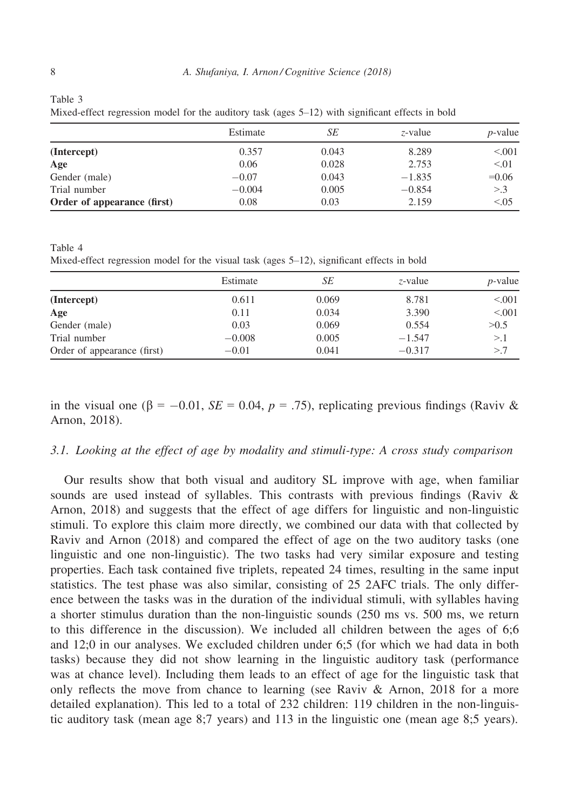| ł<br>I<br>۰. |  |  |  |
|--------------|--|--|--|
|              |  |  |  |
|              |  |  |  |
|              |  |  |  |
|              |  |  |  |
|              |  |  |  |

Table 3

| Mixed-effect regression model for the auditory task (ages 5–12) with significant effects in bold |  |  |  |  |
|--------------------------------------------------------------------------------------------------|--|--|--|--|
|--------------------------------------------------------------------------------------------------|--|--|--|--|

|                             | Estimate | SЕ    | $z$ -value | $p$ -value |
|-----------------------------|----------|-------|------------|------------|
| (Intercept)                 | 0.357    | 0.043 | 8.289      | < 0.001    |
| Age                         | 0.06     | 0.028 | 2.753      | < 01       |
| Gender (male)               | $-0.07$  | 0.043 | $-1.835$   | $=0.06$    |
| Trial number                | $-0.004$ | 0.005 | $-0.854$   | >3.3       |
| Order of appearance (first) | 0.08     | 0.03  | 2.159      | < 0.05     |

Table 4

Mixed-effect regression model for the visual task (ages 5–12), significant effects in bold

|                             | Estimate | SЕ    | $z$ -value | $p$ -value |
|-----------------------------|----------|-------|------------|------------|
| (Intercept)                 | 0.611    | 0.069 | 8.781      | < 0.001    |
| Age                         | 0.11     | 0.034 | 3.390      | < 0.001    |
| Gender (male)               | 0.03     | 0.069 | 0.554      | >0.5       |
| Trial number                | $-0.008$ | 0.005 | $-1.547$   | >1         |
| Order of appearance (first) | $-0.01$  | 0.041 | $-0.317$   | >7         |

in the visual one ( $\beta = -0.01$ ,  $SE = 0.04$ ,  $p = .75$ ), replicating previous findings (Raviv & Arnon, 2018).

## 3.1. Looking at the effect of age by modality and stimuli-type: A cross study comparison

Our results show that both visual and auditory SL improve with age, when familiar sounds are used instead of syllables. This contrasts with previous findings (Raviv & Arnon, 2018) and suggests that the effect of age differs for linguistic and non-linguistic stimuli. To explore this claim more directly, we combined our data with that collected by Raviv and Arnon (2018) and compared the effect of age on the two auditory tasks (one linguistic and one non-linguistic). The two tasks had very similar exposure and testing properties. Each task contained five triplets, repeated 24 times, resulting in the same input statistics. The test phase was also similar, consisting of 25 2AFC trials. The only difference between the tasks was in the duration of the individual stimuli, with syllables having a shorter stimulus duration than the non-linguistic sounds (250 ms vs. 500 ms, we return to this difference in the discussion). We included all children between the ages of 6;6 and 12;0 in our analyses. We excluded children under 6;5 (for which we had data in both tasks) because they did not show learning in the linguistic auditory task (performance was at chance level). Including them leads to an effect of age for the linguistic task that only reflects the move from chance to learning (see Raviv  $\&$  Arnon, 2018 for a more detailed explanation). This led to a total of 232 children: 119 children in the non-linguistic auditory task (mean age 8;7 years) and 113 in the linguistic one (mean age 8;5 years).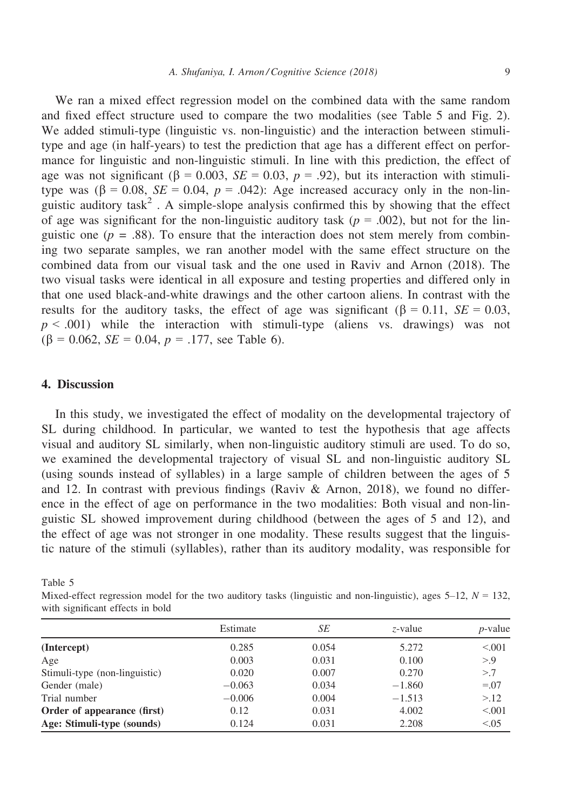We ran a mixed effect regression model on the combined data with the same random and fixed effect structure used to compare the two modalities (see Table 5 and Fig. 2). We added stimuli-type (linguistic vs. non-linguistic) and the interaction between stimulitype and age (in half-years) to test the prediction that age has a different effect on performance for linguistic and non-linguistic stimuli. In line with this prediction, the effect of age was not significant ( $\beta = 0.003$ ,  $SE = 0.03$ ,  $p = .92$ ), but its interaction with stimulitype was ( $\beta = 0.08$ ,  $SE = 0.04$ ,  $p = .042$ ): Age increased accuracy only in the non-linguistic auditory task<sup>2</sup>. A simple-slope analysis confirmed this by showing that the effect of age was significant for the non-linguistic auditory task ( $p = .002$ ), but not for the linguistic one ( $p = .88$ ). To ensure that the interaction does not stem merely from combining two separate samples, we ran another model with the same effect structure on the combined data from our visual task and the one used in Raviv and Arnon (2018). The two visual tasks were identical in all exposure and testing properties and differed only in that one used black-and-white drawings and the other cartoon aliens. In contrast with the results for the auditory tasks, the effect of age was significant ( $\beta = 0.11$ ,  $SE = 0.03$ ,  $p < .001$ ) while the interaction with stimuli-type (aliens vs. drawings) was not  $(\beta = 0.062, SE = 0.04, p = .177, see Table 6).$ 

## 4. Discussion

In this study, we investigated the effect of modality on the developmental trajectory of SL during childhood. In particular, we wanted to test the hypothesis that age affects visual and auditory SL similarly, when non-linguistic auditory stimuli are used. To do so, we examined the developmental trajectory of visual SL and non-linguistic auditory SL (using sounds instead of syllables) in a large sample of children between the ages of 5 and 12. In contrast with previous findings (Raviv  $\&$  Arnon, 2018), we found no difference in the effect of age on performance in the two modalities: Both visual and non-linguistic SL showed improvement during childhood (between the ages of 5 and 12), and the effect of age was not stronger in one modality. These results suggest that the linguistic nature of the stimuli (syllables), rather than its auditory modality, was responsible for

Table 5

Mixed-effect regression model for the two auditory tasks (linguistic and non-linguistic), ages  $5-12$ ,  $N = 132$ , with significant effects in bold

|                               | Estimate | SЕ    | z-value  | $p$ -value |
|-------------------------------|----------|-------|----------|------------|
| (Intercept)                   | 0.285    | 0.054 | 5.272    | < 0.001    |
| Age                           | 0.003    | 0.031 | 0.100    | > 9        |
| Stimuli-type (non-linguistic) | 0.020    | 0.007 | 0.270    | > 7        |
| Gender (male)                 | $-0.063$ | 0.034 | $-1.860$ | $=.07$     |
| Trial number                  | $-0.006$ | 0.004 | $-1.513$ | >12        |
| Order of appearance (first)   | 0.12     | 0.031 | 4.002    | < 0.001    |
| Age: Stimuli-type (sounds)    | 0.124    | 0.031 | 2.208    | < 0.05     |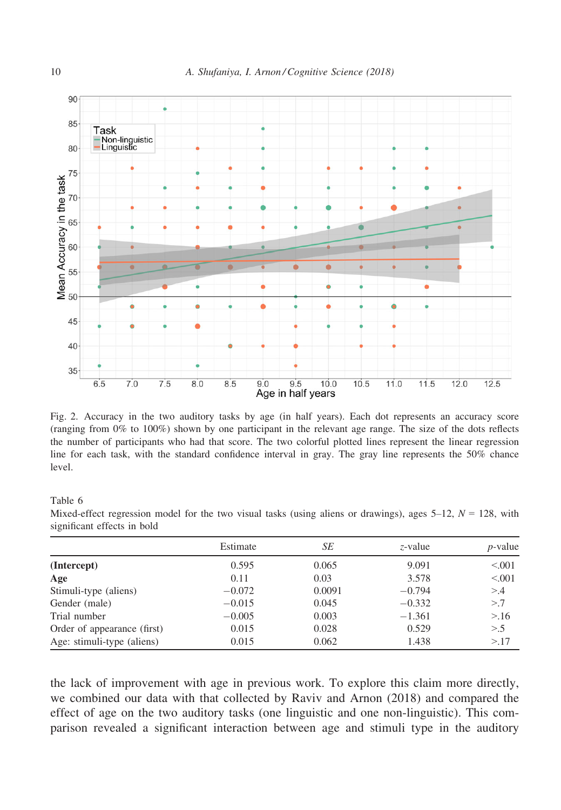

Fig. 2. Accuracy in the two auditory tasks by age (in half years). Each dot represents an accuracy score (ranging from 0% to 100%) shown by one participant in the relevant age range. The size of the dots reflects the number of participants who had that score. The two colorful plotted lines represent the linear regression line for each task, with the standard confidence interval in gray. The gray line represents the 50% chance level.

#### Table 6

| significant effects in bold                                                                                       |  |  |
|-------------------------------------------------------------------------------------------------------------------|--|--|
| Mixed-effect regression model for the two visual tasks (using aliens or drawings), ages $5-12$ , $N = 128$ , with |  |  |

|                             | Estimate | SЕ     | z-value  | $p$ -value |
|-----------------------------|----------|--------|----------|------------|
| (Intercept)                 | 0.595    | 0.065  | 9.091    | < 0.001    |
| Age                         | 0.11     | 0.03   | 3.578    | < 0.001    |
| Stimuli-type (aliens)       | $-0.072$ | 0.0091 | $-0.794$ | >4         |
| Gender (male)               | $-0.015$ | 0.045  | $-0.332$ | > 7        |
| Trial number                | $-0.005$ | 0.003  | $-1.361$ | >16        |
| Order of appearance (first) | 0.015    | 0.028  | 0.529    | > 5        |
| Age: stimuli-type (aliens)  | 0.015    | 0.062  | 1.438    | >17        |

the lack of improvement with age in previous work. To explore this claim more directly, we combined our data with that collected by Raviv and Arnon (2018) and compared the effect of age on the two auditory tasks (one linguistic and one non-linguistic). This comparison revealed a significant interaction between age and stimuli type in the auditory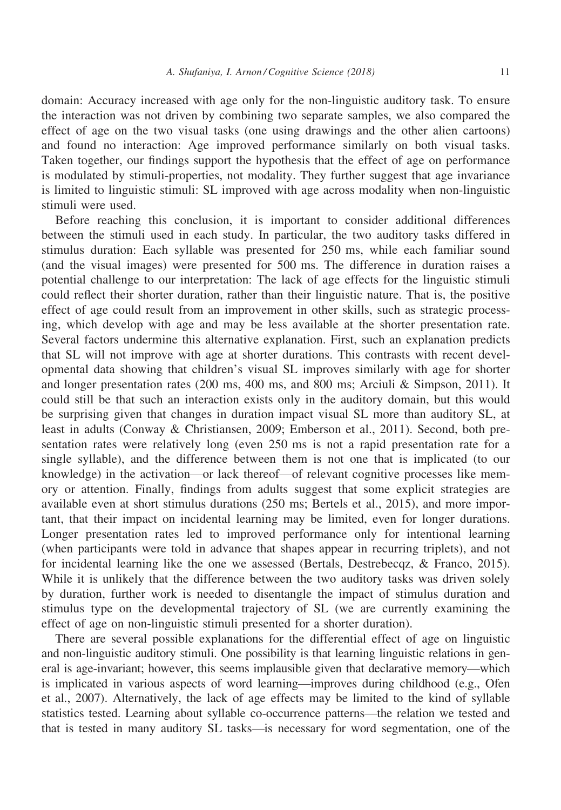domain: Accuracy increased with age only for the non-linguistic auditory task. To ensure the interaction was not driven by combining two separate samples, we also compared the effect of age on the two visual tasks (one using drawings and the other alien cartoons) and found no interaction: Age improved performance similarly on both visual tasks. Taken together, our findings support the hypothesis that the effect of age on performance is modulated by stimuli-properties, not modality. They further suggest that age invariance is limited to linguistic stimuli: SL improved with age across modality when non-linguistic stimuli were used.

Before reaching this conclusion, it is important to consider additional differences between the stimuli used in each study. In particular, the two auditory tasks differed in stimulus duration: Each syllable was presented for 250 ms, while each familiar sound (and the visual images) were presented for 500 ms. The difference in duration raises a potential challenge to our interpretation: The lack of age effects for the linguistic stimuli could reflect their shorter duration, rather than their linguistic nature. That is, the positive effect of age could result from an improvement in other skills, such as strategic processing, which develop with age and may be less available at the shorter presentation rate. Several factors undermine this alternative explanation. First, such an explanation predicts that SL will not improve with age at shorter durations. This contrasts with recent developmental data showing that children's visual SL improves similarly with age for shorter and longer presentation rates (200 ms, 400 ms, and 800 ms; Arciuli & Simpson, 2011). It could still be that such an interaction exists only in the auditory domain, but this would be surprising given that changes in duration impact visual SL more than auditory SL, at least in adults (Conway & Christiansen, 2009; Emberson et al., 2011). Second, both presentation rates were relatively long (even 250 ms is not a rapid presentation rate for a single syllable), and the difference between them is not one that is implicated (to our knowledge) in the activation—or lack thereof—of relevant cognitive processes like memory or attention. Finally, findings from adults suggest that some explicit strategies are available even at short stimulus durations (250 ms; Bertels et al., 2015), and more important, that their impact on incidental learning may be limited, even for longer durations. Longer presentation rates led to improved performance only for intentional learning (when participants were told in advance that shapes appear in recurring triplets), and not for incidental learning like the one we assessed (Bertals, Destrebecqz, & Franco, 2015). While it is unlikely that the difference between the two auditory tasks was driven solely by duration, further work is needed to disentangle the impact of stimulus duration and stimulus type on the developmental trajectory of SL (we are currently examining the effect of age on non-linguistic stimuli presented for a shorter duration).

There are several possible explanations for the differential effect of age on linguistic and non-linguistic auditory stimuli. One possibility is that learning linguistic relations in general is age-invariant; however, this seems implausible given that declarative memory—which is implicated in various aspects of word learning—improves during childhood (e.g., Ofen et al., 2007). Alternatively, the lack of age effects may be limited to the kind of syllable statistics tested. Learning about syllable co-occurrence patterns—the relation we tested and that is tested in many auditory SL tasks—is necessary for word segmentation, one of the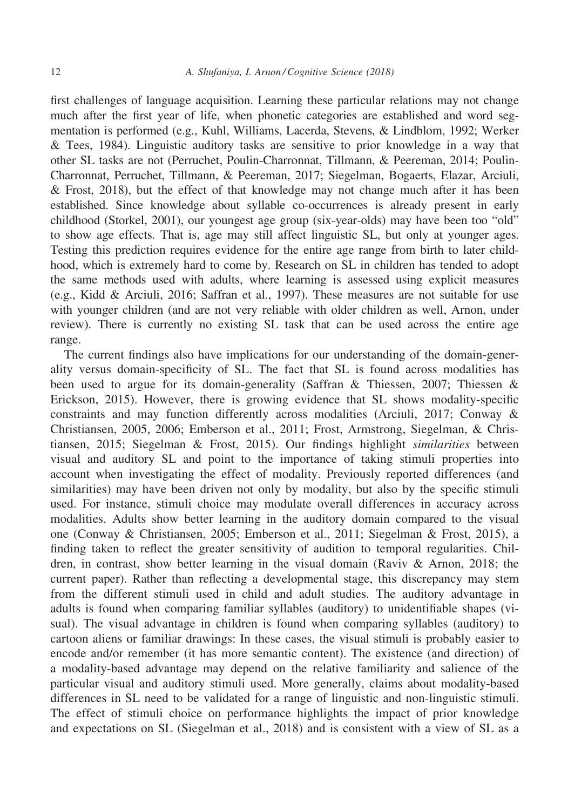first challenges of language acquisition. Learning these particular relations may not change much after the first year of life, when phonetic categories are established and word segmentation is performed (e.g., Kuhl, Williams, Lacerda, Stevens, & Lindblom, 1992; Werker & Tees, 1984). Linguistic auditory tasks are sensitive to prior knowledge in a way that other SL tasks are not (Perruchet, Poulin-Charronnat, Tillmann, & Peereman, 2014; Poulin-Charronnat, Perruchet, Tillmann, & Peereman, 2017; Siegelman, Bogaerts, Elazar, Arciuli, & Frost, 2018), but the effect of that knowledge may not change much after it has been established. Since knowledge about syllable co-occurrences is already present in early childhood (Storkel, 2001), our youngest age group (six-year-olds) may have been too "old" to show age effects. That is, age may still affect linguistic SL, but only at younger ages. Testing this prediction requires evidence for the entire age range from birth to later childhood, which is extremely hard to come by. Research on SL in children has tended to adopt the same methods used with adults, where learning is assessed using explicit measures (e.g., Kidd & Arciuli, 2016; Saffran et al., 1997). These measures are not suitable for use with younger children (and are not very reliable with older children as well, Arnon, under review). There is currently no existing SL task that can be used across the entire age range.

The current findings also have implications for our understanding of the domain-generality versus domain-specificity of SL. The fact that SL is found across modalities has been used to argue for its domain-generality (Saffran & Thiessen, 2007; Thiessen & Erickson, 2015). However, there is growing evidence that SL shows modality-specific constraints and may function differently across modalities (Arciuli, 2017; Conway & Christiansen, 2005, 2006; Emberson et al., 2011; Frost, Armstrong, Siegelman, & Christiansen, 2015; Siegelman & Frost, 2015). Our findings highlight *similarities* between visual and auditory SL and point to the importance of taking stimuli properties into account when investigating the effect of modality. Previously reported differences (and similarities) may have been driven not only by modality, but also by the specific stimuli used. For instance, stimuli choice may modulate overall differences in accuracy across modalities. Adults show better learning in the auditory domain compared to the visual one (Conway & Christiansen, 2005; Emberson et al., 2011; Siegelman & Frost, 2015), a finding taken to reflect the greater sensitivity of audition to temporal regularities. Children, in contrast, show better learning in the visual domain (Raviv & Arnon, 2018; the current paper). Rather than reflecting a developmental stage, this discrepancy may stem from the different stimuli used in child and adult studies. The auditory advantage in adults is found when comparing familiar syllables (auditory) to unidentifiable shapes (visual). The visual advantage in children is found when comparing syllables (auditory) to cartoon aliens or familiar drawings: In these cases, the visual stimuli is probably easier to encode and/or remember (it has more semantic content). The existence (and direction) of a modality-based advantage may depend on the relative familiarity and salience of the particular visual and auditory stimuli used. More generally, claims about modality-based differences in SL need to be validated for a range of linguistic and non-linguistic stimuli. The effect of stimuli choice on performance highlights the impact of prior knowledge and expectations on SL (Siegelman et al., 2018) and is consistent with a view of SL as a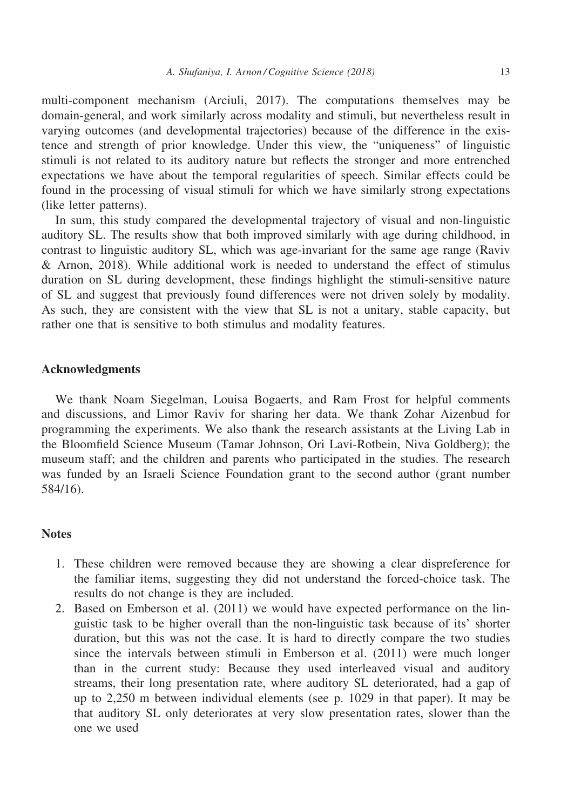multi-component mechanism (Arciuli, 2017). The computations themselves may be domain-general, and work similarly across modality and stimuli, but nevertheless result in varying outcomes (and developmental trajectories) because of the difference in the existence and strength of prior knowledge. Under this view, the "uniqueness" of linguistic stimuli is not related to its auditory nature but reflects the stronger and more entrenched expectations we have about the temporal regularities of speech. Similar effects could be found in the processing of visual stimuli for which we have similarly strong expectations (like letter patterns).

In sum, this study compared the developmental trajectory of visual and non-linguistic auditory SL. The results show that both improved similarly with age during childhood, in contrast to linguistic auditory SL, which was age-invariant for the same age range (Raviv & Arnon, 2018). While additional work is needed to understand the effect of stimulus duration on SL during development, these findings highlight the stimuli-sensitive nature of SL and suggest that previously found differences were not driven solely by modality. As such, they are consistent with the view that SL is not a unitary, stable capacity, but rather one that is sensitive to both stimulus and modality features.

## Acknowledgments

We thank Noam Siegelman, Louisa Bogaerts, and Ram Frost for helpful comments and discussions, and Limor Raviv for sharing her data. We thank Zohar Aizenbud for programming the experiments. We also thank the research assistants at the Living Lab in the Bloomfield Science Museum (Tamar Johnson, Ori Lavi-Rotbein, Niva Goldberg); the museum staff; and the children and parents who participated in the studies. The research was funded by an Israeli Science Foundation grant to the second author (grant number 584/16).

## **Notes**

- 1. These children were removed because they are showing a clear dispreference for the familiar items, suggesting they did not understand the forced-choice task. The results do not change is they are included.
- 2. Based on Emberson et al. (2011) we would have expected performance on the linguistic task to be higher overall than the non-linguistic task because of its' shorter duration, but this was not the case. It is hard to directly compare the two studies since the intervals between stimuli in Emberson et al. (2011) were much longer than in the current study: Because they used interleaved visual and auditory streams, their long presentation rate, where auditory SL deteriorated, had a gap of up to 2,250 m between individual elements (see p. 1029 in that paper). It may be that auditory SL only deteriorates at very slow presentation rates, slower than the one we used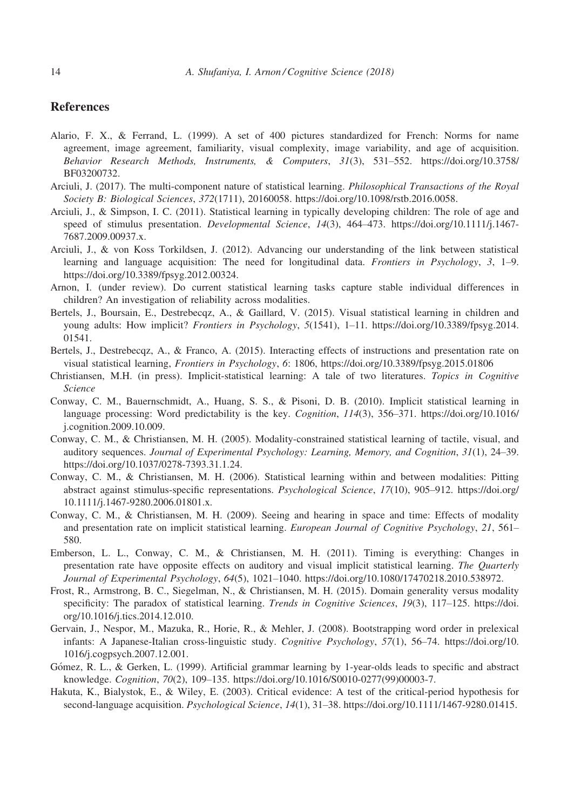#### References

- Alario, F. X., & Ferrand, L. (1999). A set of 400 pictures standardized for French: Norms for name agreement, image agreement, familiarity, visual complexity, image variability, and age of acquisition. Behavior Research Methods, Instruments, & Computers, 31(3), 531–552. [https://doi.org/10.3758/](https://doi.org/10.3758/BF03200732) [BF03200732.](https://doi.org/10.3758/BF03200732)
- Arciuli, J. (2017). The multi-component nature of statistical learning. Philosophical Transactions of the Royal Society B: Biological Sciences, 372(1711), 20160058. [https://doi.org/10.1098/rstb.2016.0058.](https://doi.org/10.1098/rstb.2016.0058)
- Arciuli, J., & Simpson, I. C. (2011). Statistical learning in typically developing children: The role of age and speed of stimulus presentation. *Developmental Science*, 14(3), 464–473. [https://doi.org/10.1111/j.1467-](https://doi.org/10.1111/j.1467-7687.2009.00937.x) [7687.2009.00937.x.](https://doi.org/10.1111/j.1467-7687.2009.00937.x)
- Arciuli, J., & von Koss Torkildsen, J. (2012). Advancing our understanding of the link between statistical learning and language acquisition: The need for longitudinal data. *Frontiers in Psychology*, 3, 1–9. [https://doi.org/10.3389/fpsyg.2012.00324.](https://doi.org/10.3389/fpsyg.2012.00324)
- Arnon, I. (under review). Do current statistical learning tasks capture stable individual differences in children? An investigation of reliability across modalities.
- Bertels, J., Boursain, E., Destrebecqz, A., & Gaillard, V. (2015). Visual statistical learning in children and young adults: How implicit? Frontiers in Psychology, 5(1541), 1-11. [https://doi.org/10.3389/fpsyg.2014.](https://doi.org/10.3389/fpsyg.2014.01541) [01541.](https://doi.org/10.3389/fpsyg.2014.01541)
- Bertels, J., Destrebecqz, A., & Franco, A. (2015). Interacting effects of instructions and presentation rate on visual statistical learning, Frontiers in Psychology, 6: 1806,<https://doi.org/10.3389/fpsyg.2015.01806>
- Christiansen, M.H. (in press). Implicit-statistical learning: A tale of two literatures. Topics in Cognitive Science
- Conway, C. M., Bauernschmidt, A., Huang, S. S., & Pisoni, D. B. (2010). Implicit statistical learning in language processing: Word predictability is the key. Cognition, 114(3), 356–371. [https://doi.org/10.1016/](https://doi.org/10.1016/j.cognition.2009.10.009) [j.cognition.2009.10.009.](https://doi.org/10.1016/j.cognition.2009.10.009)
- Conway, C. M., & Christiansen, M. H. (2005). Modality-constrained statistical learning of tactile, visual, and auditory sequences. Journal of Experimental Psychology: Learning, Memory, and Cognition, 31(1), 24–39. [https://doi.org/10.1037/0278-7393.31.1.24.](https://doi.org/10.1037/0278-7393.31.1.24)
- Conway, C. M., & Christiansen, M. H. (2006). Statistical learning within and between modalities: Pitting abstract against stimulus-specific representations. Psychological Science, 17(10), 905–912. [https://doi.org/](https://doi.org/10.1111/j.1467-9280.2006.01801.x) [10.1111/j.1467-9280.2006.01801.x.](https://doi.org/10.1111/j.1467-9280.2006.01801.x)
- Conway, C. M., & Christiansen, M. H. (2009). Seeing and hearing in space and time: Effects of modality and presentation rate on implicit statistical learning. European Journal of Cognitive Psychology, 21, 561-580.
- Emberson, L. L., Conway, C. M., & Christiansen, M. H. (2011). Timing is everything: Changes in presentation rate have opposite effects on auditory and visual implicit statistical learning. The Quarterly Journal of Experimental Psychology, 64(5), 1021–1040.<https://doi.org/10.1080/17470218.2010.538972>.
- Frost, R., Armstrong, B. C., Siegelman, N., & Christiansen, M. H. (2015). Domain generality versus modality specificity: The paradox of statistical learning. Trends in Cognitive Sciences, 19(3), 117-125. [https://doi.](https://doi.org/10.1016/j.tics.2014.12.010) [org/10.1016/j.tics.2014.12.010.](https://doi.org/10.1016/j.tics.2014.12.010)
- Gervain, J., Nespor, M., Mazuka, R., Horie, R., & Mehler, J. (2008). Bootstrapping word order in prelexical infants: A Japanese-Italian cross-linguistic study. Cognitive Psychology, 57(1), 56–74. [https://doi.org/10.](https://doi.org/10.1016/j.cogpsych.2007.12.001) [1016/j.cogpsych.2007.12.001](https://doi.org/10.1016/j.cogpsych.2007.12.001).
- Gómez, R. L., & Gerken, L. (1999). Artificial grammar learning by 1-year-olds leads to specific and abstract knowledge. Cognition, 70(2), 109–135. [https://doi.org/10.1016/S0010-0277\(99\)00003-7.](https://doi.org/10.1016/S0010-0277(99)00003-7)
- Hakuta, K., Bialystok, E., & Wiley, E. (2003). Critical evidence: A test of the critical-period hypothesis for second-language acquisition. Psychological Science, 14(1), 31–38.<https://doi.org/10.1111/1467-9280.01415>.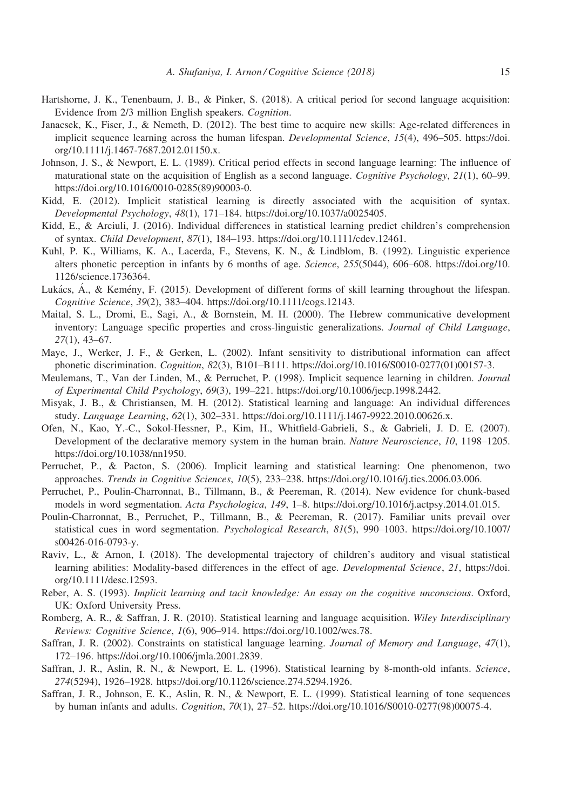- Hartshorne, J. K., Tenenbaum, J. B., & Pinker, S. (2018). A critical period for second language acquisition: Evidence from 2/3 million English speakers. Cognition.
- Janacsek, K., Fiser, J., & Nemeth, D. (2012). The best time to acquire new skills: Age-related differences in implicit sequence learning across the human lifespan. Developmental Science, 15(4), 496–505. [https://doi.](https://doi.org/10.1111/j.1467-7687.2012.01150.x) [org/10.1111/j.1467-7687.2012.01150.x.](https://doi.org/10.1111/j.1467-7687.2012.01150.x)
- Johnson, J. S., & Newport, E. L. (1989). Critical period effects in second language learning: The influence of maturational state on the acquisition of English as a second language. Cognitive Psychology, 21(1), 60–99. [https://doi.org/10.1016/0010-0285\(89\)90003-0](https://doi.org/10.1016/0010-0285(89)90003-0).
- Kidd, E. (2012). Implicit statistical learning is directly associated with the acquisition of syntax. Developmental Psychology, 48(1), 171–184.<https://doi.org/10.1037/a0025405>.
- Kidd, E., & Arciuli, J. (2016). Individual differences in statistical learning predict children's comprehension of syntax. Child Development, 87(1), 184–193.<https://doi.org/10.1111/cdev.12461>.
- Kuhl, P. K., Williams, K. A., Lacerda, F., Stevens, K. N., & Lindblom, B. (1992). Linguistic experience alters phonetic perception in infants by 6 months of age. Science, 255(5044), 606–608. [https://doi.org/10.](https://doi.org/10.1126/science.1736364) [1126/science.1736364](https://doi.org/10.1126/science.1736364).
- Lukács, Á., & Kemény, F. (2015). Development of different forms of skill learning throughout the lifespan. Cognitive Science, 39(2), 383–404. [https://doi.org/10.1111/cogs.12143.](https://doi.org/10.1111/cogs.12143)
- Maital, S. L., Dromi, E., Sagi, A., & Bornstein, M. H. (2000). The Hebrew communicative development inventory: Language specific properties and cross-linguistic generalizations. Journal of Child Language, 27(1), 43–67.
- Maye, J., Werker, J. F., & Gerken, L. (2002). Infant sensitivity to distributional information can affect phonetic discrimination. Cognition, 82(3), B101–B111. [https://doi.org/10.1016/S0010-0277\(01\)00157-3.](https://doi.org/10.1016/S0010-0277(01)00157-3)
- Meulemans, T., Van der Linden, M., & Perruchet, P. (1998). Implicit sequence learning in children. Journal of Experimental Child Psychology, 69(3), 199–221.<https://doi.org/10.1006/jecp.1998.2442>.
- Misyak, J. B., & Christiansen, M. H. (2012). Statistical learning and language: An individual differences study. Language Learning, 62(1), 302–331.<https://doi.org/10.1111/j.1467-9922.2010.00626.x>.
- Ofen, N., Kao, Y.-C., Sokol-Hessner, P., Kim, H., Whitfield-Gabrieli, S., & Gabrieli, J. D. E. (2007). Development of the declarative memory system in the human brain. Nature Neuroscience, 10, 1198–1205. <https://doi.org/10.1038/nn1950>.
- Perruchet, P., & Pacton, S. (2006). Implicit learning and statistical learning: One phenomenon, two approaches. Trends in Cognitive Sciences, 10(5), 233–238. [https://doi.org/10.1016/j.tics.2006.03.006.](https://doi.org/10.1016/j.tics.2006.03.006)
- Perruchet, P., Poulin-Charronnat, B., Tillmann, B., & Peereman, R. (2014). New evidence for chunk-based models in word segmentation. Acta Psychologica, 149, 1–8.<https://doi.org/10.1016/j.actpsy.2014.01.015>.
- Poulin-Charronnat, B., Perruchet, P., Tillmann, B., & Peereman, R. (2017). Familiar units prevail over statistical cues in word segmentation. Psychological Research, 81(5), 990–1003. [https://doi.org/10.1007/](https://doi.org/10.1007/s00426-016-0793-y) [s00426-016-0793-y](https://doi.org/10.1007/s00426-016-0793-y).
- Raviv, L., & Arnon, I. (2018). The developmental trajectory of children's auditory and visual statistical learning abilities: Modality-based differences in the effect of age. Developmental Science, 21, [https://doi.](https://doi.org/10.1111/desc.12593) [org/10.1111/desc.12593](https://doi.org/10.1111/desc.12593).
- Reber, A. S. (1993). Implicit learning and tacit knowledge: An essay on the cognitive unconscious. Oxford, UK: Oxford University Press.
- Romberg, A. R., & Saffran, J. R. (2010). Statistical learning and language acquisition. Wiley Interdisciplinary Reviews: Cognitive Science, 1(6), 906–914. [https://doi.org/10.1002/wcs.78.](https://doi.org/10.1002/wcs.78)
- Saffran, J. R. (2002). Constraints on statistical language learning. Journal of Memory and Language, 47(1), 172–196.<https://doi.org/10.1006/jmla.2001.2839>.
- Saffran, J. R., Aslin, R. N., & Newport, E. L. (1996). Statistical learning by 8-month-old infants. Science, 274(5294), 1926–1928.<https://doi.org/10.1126/science.274.5294.1926>.
- Saffran, J. R., Johnson, E. K., Aslin, R. N., & Newport, E. L. (1999). Statistical learning of tone sequences by human infants and adults. Cognition, 70(1), 27–52. [https://doi.org/10.1016/S0010-0277\(98\)00075-4](https://doi.org/10.1016/S0010-0277(98)00075-4).